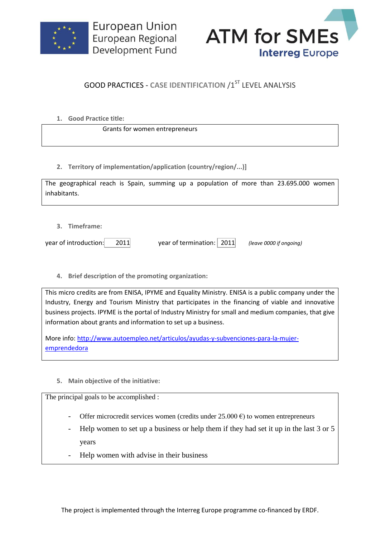



## **GOOD PRACTICES - CASE IDENTIFICATION /1ST LEVEL ANALYSIS**

**1. Good Practice title:**

Grants for women entrepreneurs

**2. Territory of implementation/application (country/region/...)]**

| The geographical reach is Spain, summing up a population of more than 23.695.000 women |  |  |  |  |  |  |
|----------------------------------------------------------------------------------------|--|--|--|--|--|--|
| inhabitants.                                                                           |  |  |  |  |  |  |

**3. Timeframe:**

year of introduction: 2011 year of termination: 2011 *(leave 0000 if ongoing)*

**4. Brief description of the promoting organization:**

This micro credits are from ENISA, IPYME and Equality Ministry. ENISA is a public company under the Industry, Energy and Tourism Ministry that participates in the financing of viable and innovative business projects. IPYME is the portal of Industry Ministry for small and medium companies, that give information about grants and information to set up a business.

More info: [http://www.autoempleo.net/articulos/ayudas-y-subvenciones-para-la-mujer](http://www.autoempleo.net/articulos/ayudas-y-subvenciones-para-la-mujer-emprendedora)[emprendedora](http://www.autoempleo.net/articulos/ayudas-y-subvenciones-para-la-mujer-emprendedora)

**5. Main objective of the initiative:**

The principal goals to be accomplished :

- Offer microcredit services women (credits under  $25.000 \text{ } \epsilon$ ) to women entrepreneurs
- Help women to set up a business or help them if they had set it up in the last 3 or 5 years
- Help women with advise in their business